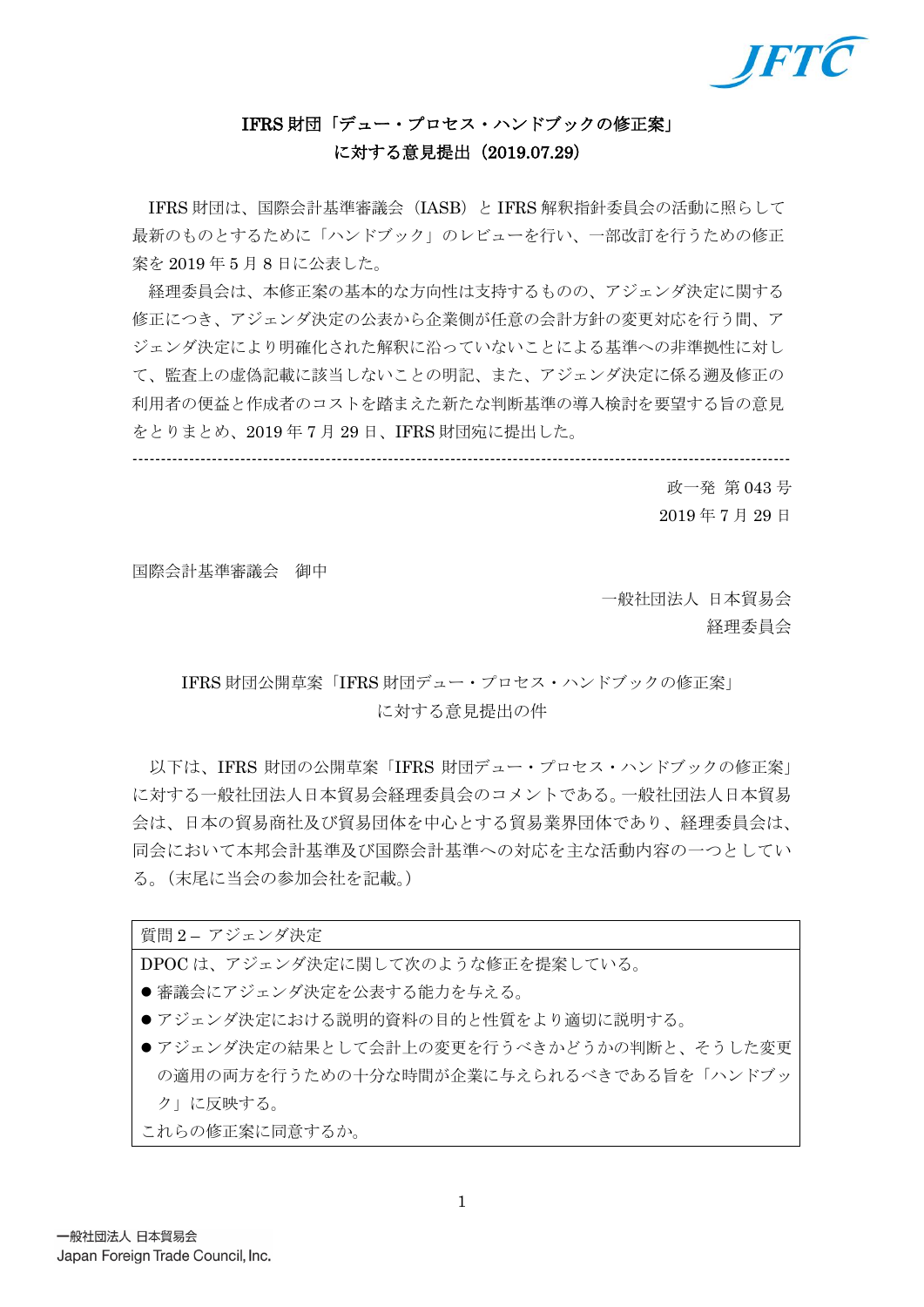

# IFRS 財団「デュー・プロセス・ハンドブックの修正案」 に対する意見提出(2019.07.29)

IFRS 財団は、国際会計基準審議会(IASB)と IFRS 解釈指針委員会の活動に照らして 最新のものとするために「ハンドブック」のレビューを行い、一部改訂を行うための修正 案を 2019 年 5 月 8 日に公表した。

経理委員会は、本修正案の基本的な方向性は支持するものの、アジェンダ決定に関する 修正につき、アジェンダ決定の公表から企業側が任意の会計方針の変更対応を行う間、ア ジェンダ決定により明確化された解釈に沿っていないことによる基準への非準拠性に対し て、監査上の虚偽記載に該当しないことの明記、また、アジェンダ決定に係る遡及修正の 利用者の便益と作成者のコストを踏まえた新たな判断基準の導入検討を要望する旨の意見 をとりまとめ、2019 年 7 月 29 日、IFRS 財団宛に提出した。

--------------------------------------------------------------------------------------------------------------------

政一発 第 043 号 2019 年 7 月 29 日

国際会計基準審議会 御中

一般社団法人 日本貿易会 経理委員会

# IFRS 財団公開草案「IFRS 財団デュー・プロセス・ハンドブックの修正案」 に対する意見提出の件

以下は、IFRS 財団の公開草案「IFRS 財団デュー・プロセス・ハンドブックの修正案」 に対する一般社団法人日本貿易会経理委員会のコメントである。一般社団法人日本貿易 会は、日本の貿易商社及び貿易団体を中心とする貿易業界団体であり、経理委員会は、 同会において本邦会計基準及び国際会計基準への対応を主な活動内容の一つとしてい る。(末尾に当会の参加会社を記載。)

#### 質問 2 – アジェンダ決定

DPOC は、アジェンダ決定に関して次のような修正を提案している。

●審議会にアジェンダ決定を公表する能力を与える。

- ●アジェンダ決定における説明的資料の目的と性質をより適切に説明する。
- アジェンダ決定の結果として会計上の変更を行うべきかどうかの判断と、そうした変更 の適用の両方を行うための十分な時間が企業に与えられるべきである旨を「ハンドブッ ク」に反映する。

これらの修正案に同意するか。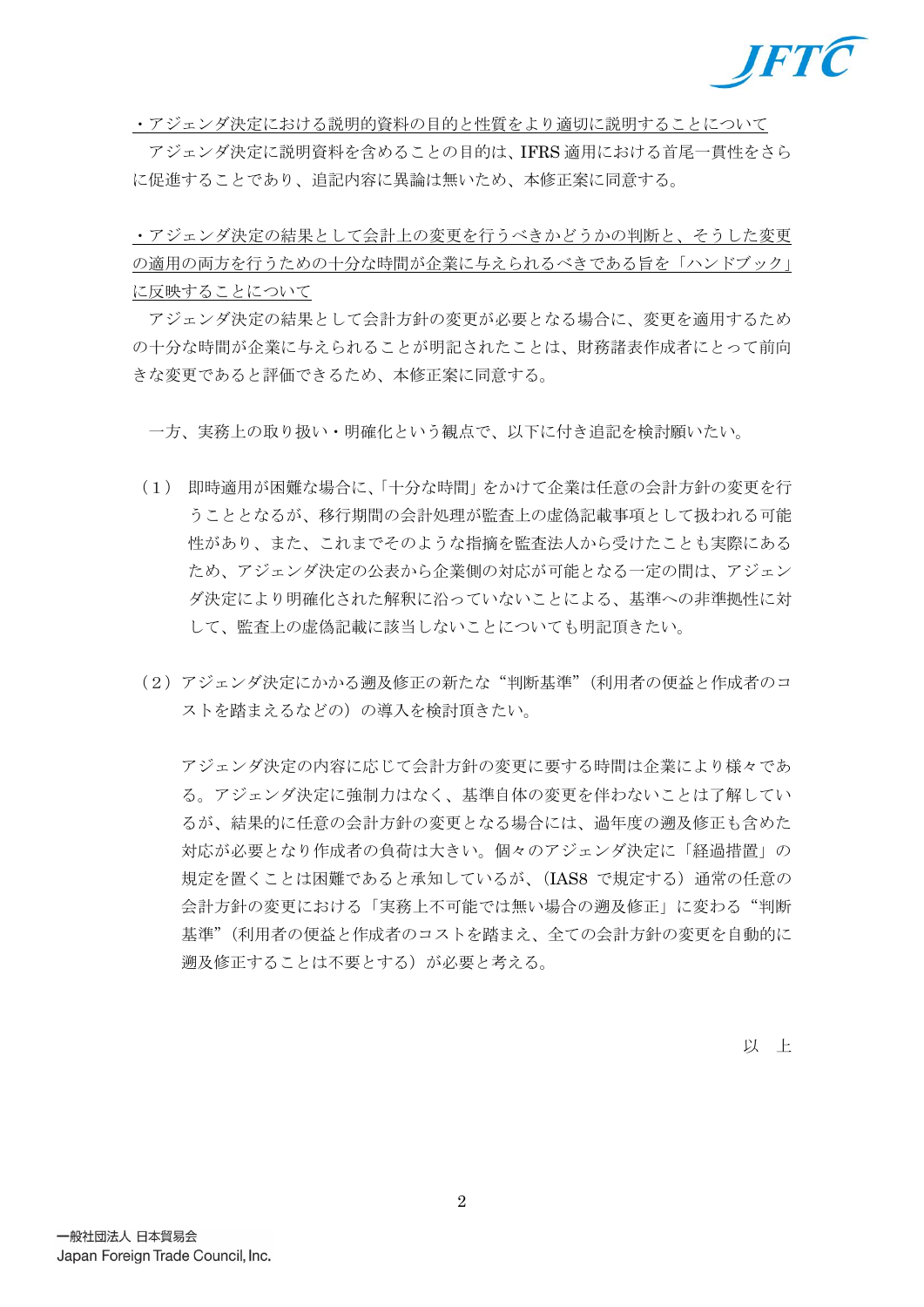

・アジェンダ決定における説明的資料の目的と性質をより適切に説明することについて

アジェンダ決定に説明資料を含めることの目的は、IFRS 適用における首尾一貫性をさら に促進することであり、追記内容に異論は無いため、本修正案に同意する。

・アジェンダ決定の結果として会計上の変更を行うべきかどうかの判断と、そうした変更 の適用の両方を行うための十分な時間が企業に与えられるべきである旨を「ハンドブック」 に反映することについて

アジェンダ決定の結果として会計方針の変更が必要となる場合に、変更を適用するため の十分な時間が企業に与えられることが明記されたことは、財務諸表作成者にとって前向 きな変更であると評価できるため、本修正案に同意する。

一方、実務上の取り扱い・明確化という観点で、以下に付き追記を検討願いたい。

- (1) 即時適用が困難な場合に、「十分な時間」をかけて企業は任意の会計方針の変更を行 うこととなるが、移行期間の会計処理が監査上の虚偽記載事項として扱われる可能 性があり、また、これまでそのような指摘を監査法人から受けたことも実際にある ため、アジェンダ決定の公表から企業側の対応が可能となる一定の間は、アジェン ダ決定により明確化された解釈に沿っていないことによる、基準への非準拠性に対 して、監査上の虚偽記載に該当しないことについても明記頂きたい。
- (2)アジェンダ決定にかかる遡及修正の新たな"判断基準"(利用者の便益と作成者のコ ストを踏まえるなどの)の導入を検討頂きたい。

アジェンダ決定の内容に応じて会計方針の変更に要する時間は企業により様々であ る。アジェンダ決定に強制力はなく、基準自体の変更を伴わないことは了解してい るが、結果的に任意の会計方針の変更となる場合には、過年度の遡及修正も含めた 対応が必要となり作成者の負荷は大きい。個々のアジェンダ決定に「経過措置」の 規定を置くことは困難であると承知しているが、(IAS8 で規定する)通常の任意の 会計方針の変更における「実務上不可能では無い場合の遡及修正」に変わる"判断 基準"(利用者の便益と作成者のコストを踏まえ、全ての会計方針の変更を自動的に 遡及修正することは不要とする)が必要と考える。

以 上

2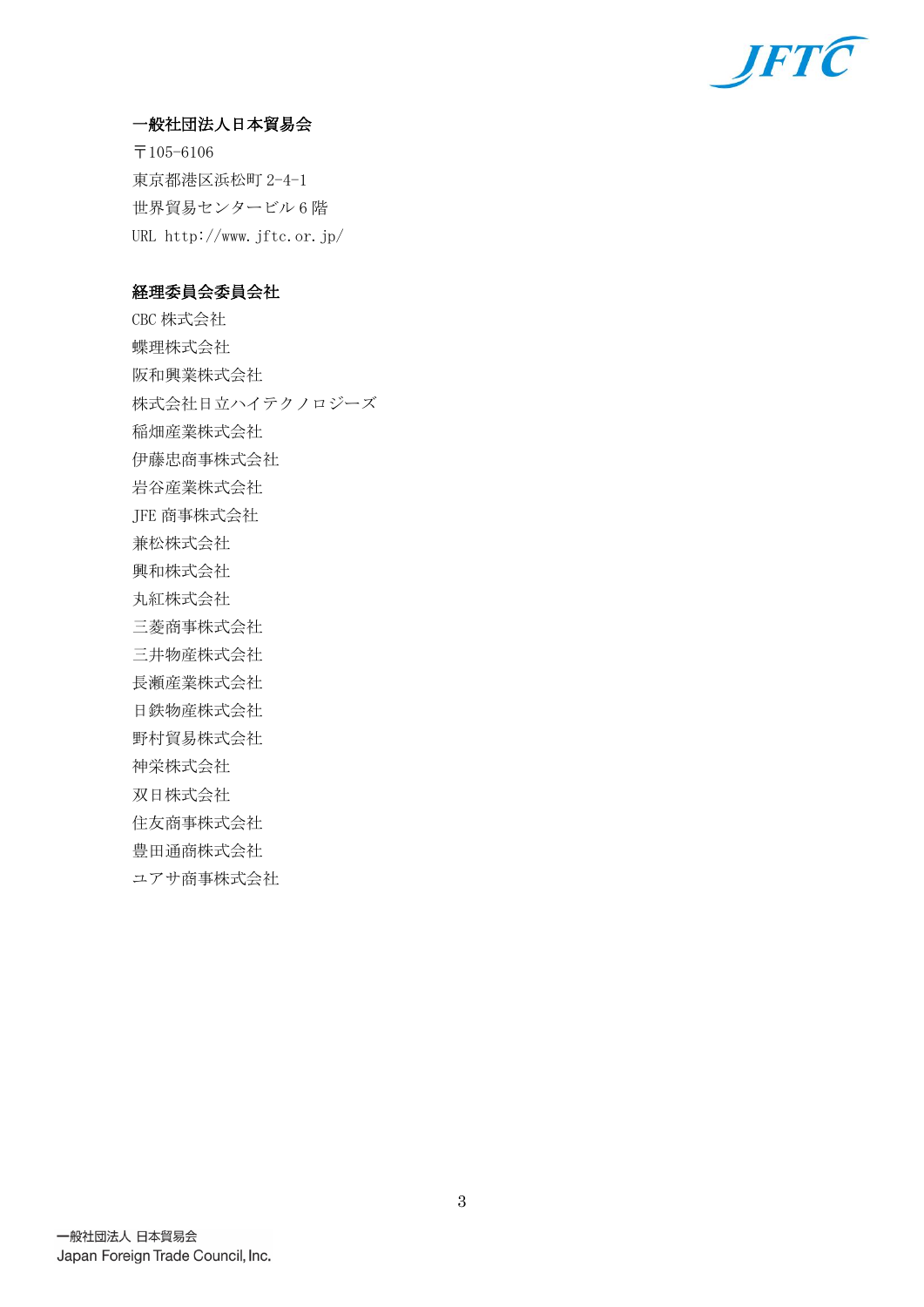

## 一般社団法人日本貿易会

〒105-6106 東京都港区浜松町 2-4-1 世界貿易センタービル 6 階 URL http://www.jftc.or.jp/

## 経理委員会委員会社

CBC 株式会社 蝶理株式会社 阪和興業株式会社 株式会社日立ハイテクノロジーズ 稲畑産業株式会社 伊藤忠商事株式会社 岩谷産業株式会社 JFE 商事株式会社 兼松株式会社 興和株式会社 丸紅株式会社 三菱商事株式会社 三井物産株式会社 長瀬産業株式会社 日鉄物産株式会社 野村貿易株式会社 神栄株式会社 双日株式会社 住友商事株式会社 豊田通商株式会社 ユアサ商事株式会社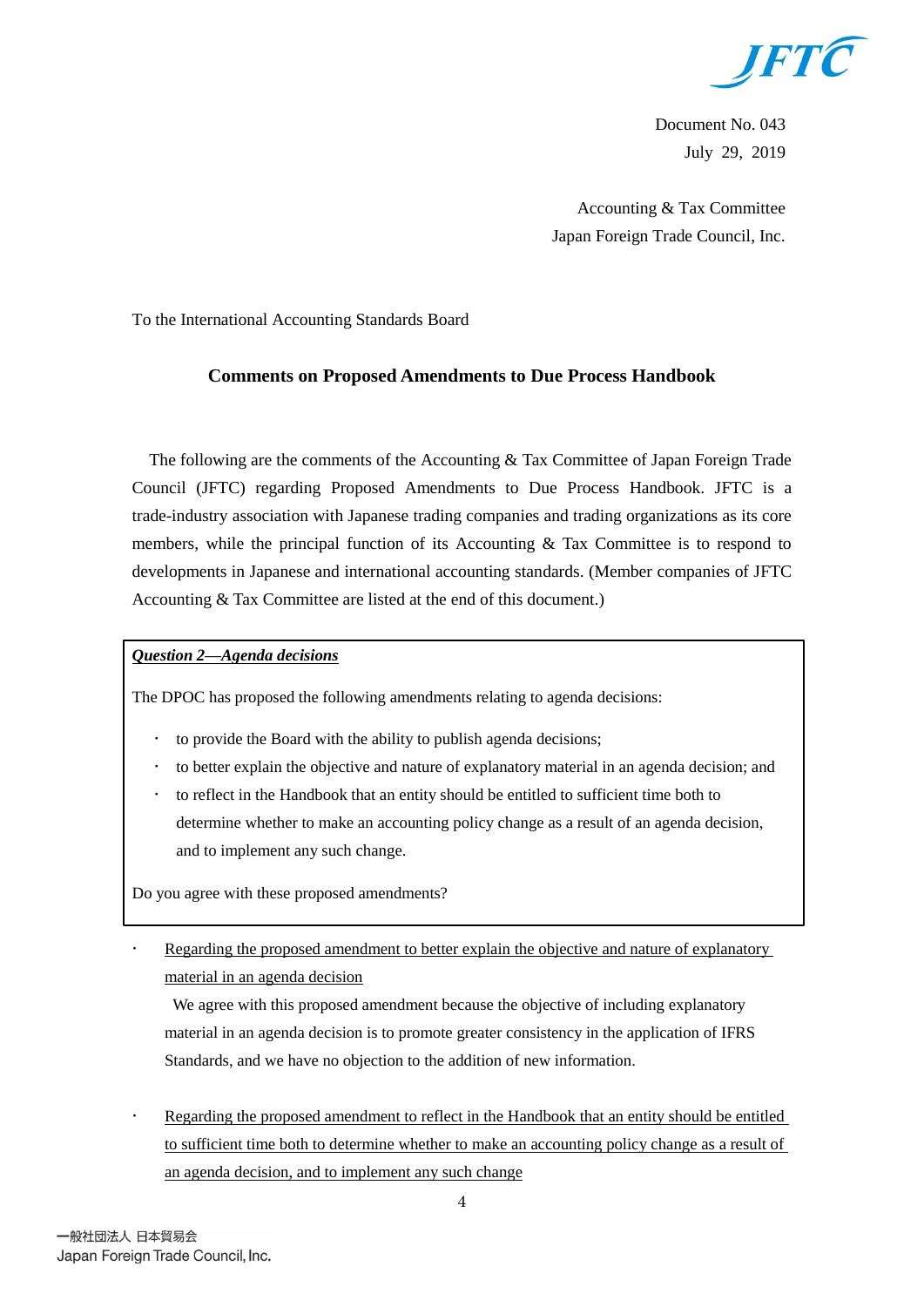

Document No. 043 July 29, 2019

Accounting & Tax Committee Japan Foreign Trade Council, Inc.

To the International Accounting Standards Board

### **Comments on Proposed Amendments to Due Process Handbook**

The following are the comments of the Accounting & Tax Committee of Japan Foreign Trade Council (JFTC) regarding Proposed Amendments to Due Process Handbook. JFTC is a trade-industry association with Japanese trading companies and trading organizations as its core members, while the principal function of its Accounting  $\&$  Tax Committee is to respond to developments in Japanese and international accounting standards. (Member companies of JFTC Accounting & Tax Committee are listed at the end of this document.)

### *Question 2—Agenda decisions*

The DPOC has proposed the following amendments relating to agenda decisions:

- to provide the Board with the ability to publish agenda decisions;
- to better explain the objective and nature of explanatory material in an agenda decision; and
- to reflect in the Handbook that an entity should be entitled to sufficient time both to determine whether to make an accounting policy change as a result of an agenda decision, and to implement any such change.

Do you agree with these proposed amendments?

 Regarding the proposed amendment to better explain the objective and nature of explanatory material in an agenda decision

We agree with this proposed amendment because the objective of including explanatory material in an agenda decision is to promote greater consistency in the application of IFRS Standards, and we have no objection to the addition of new information.

 Regarding the proposed amendment to reflect in the Handbook that an entity should be entitled to sufficient time both to determine whether to make an accounting policy change as a result of an agenda decision, and to implement any such change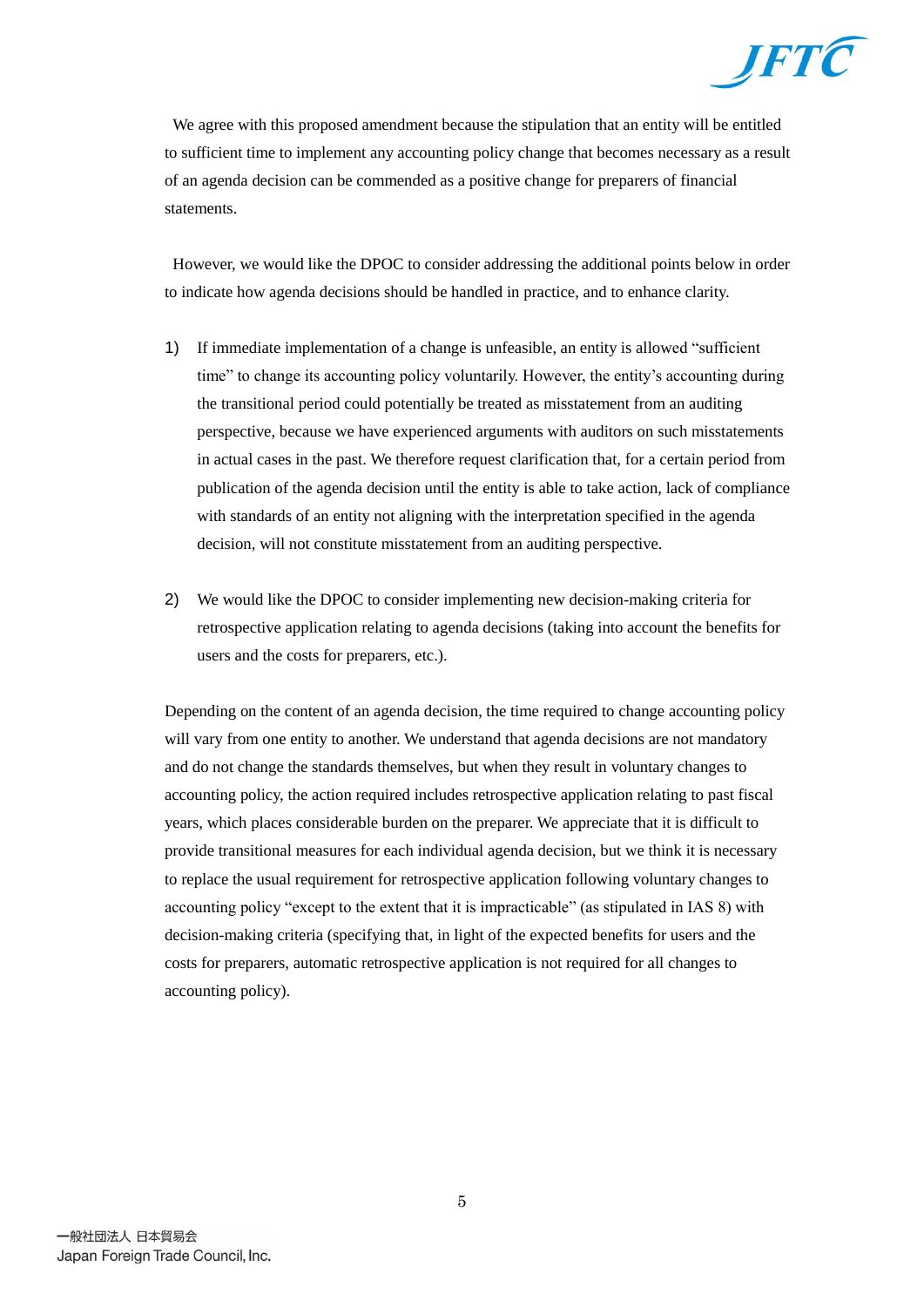

We agree with this proposed amendment because the stipulation that an entity will be entitled to sufficient time to implement any accounting policy change that becomes necessary as a result of an agenda decision can be commended as a positive change for preparers of financial statements.

However, we would like the DPOC to consider addressing the additional points below in order to indicate how agenda decisions should be handled in practice, and to enhance clarity.

- 1) If immediate implementation of a change is unfeasible, an entity is allowed "sufficient time" to change its accounting policy voluntarily. However, the entity's accounting during the transitional period could potentially be treated as misstatement from an auditing perspective, because we have experienced arguments with auditors on such misstatements in actual cases in the past. We therefore request clarification that, for a certain period from publication of the agenda decision until the entity is able to take action, lack of compliance with standards of an entity not aligning with the interpretation specified in the agenda decision, will not constitute misstatement from an auditing perspective.
- 2) We would like the DPOC to consider implementing new decision-making criteria for retrospective application relating to agenda decisions (taking into account the benefits for users and the costs for preparers, etc.).

Depending on the content of an agenda decision, the time required to change accounting policy will vary from one entity to another. We understand that agenda decisions are not mandatory and do not change the standards themselves, but when they result in voluntary changes to accounting policy, the action required includes retrospective application relating to past fiscal years, which places considerable burden on the preparer. We appreciate that it is difficult to provide transitional measures for each individual agenda decision, but we think it is necessary to replace the usual requirement for retrospective application following voluntary changes to accounting policy "except to the extent that it is impracticable" (as stipulated in IAS 8) with decision-making criteria (specifying that, in light of the expected benefits for users and the costs for preparers, automatic retrospective application is not required for all changes to accounting policy).